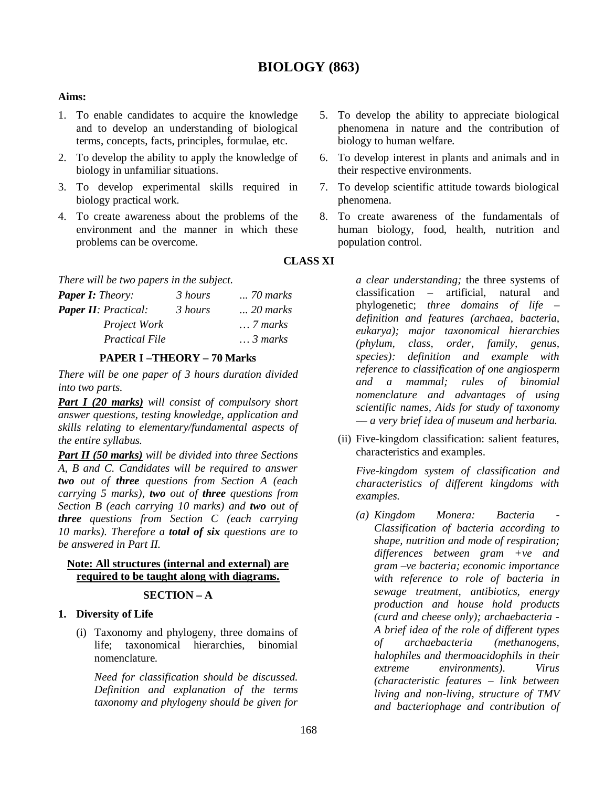# **BIOLOGY (863)**

#### **Aims:**

- 1. To enable candidates to acquire the knowledge and to develop an understanding of biological terms, concepts, facts, principles, formulae, etc.
- 2. To develop the ability to apply the knowledge of biology in unfamiliar situations.
- 3. To develop experimental skills required in biology practical work.
- 4. To create awareness about the problems of the environment and the manner in which these problems can be overcome.

*There will be two papers in the subject.*

| $\ldots$ . $\ldots$ $\ldots$ $\ldots$ $\ldots$ $\ldots$ $\ldots$ $\ldots$ |         |                   |  |  |
|---------------------------------------------------------------------------|---------|-------------------|--|--|
| <b>Paper I:</b> Theory:                                                   | 3 hours | <i>70 marks</i>   |  |  |
| <b>Paper II:</b> Practical:                                               | 3 hours | $\ldots$ 20 marks |  |  |
| Project Work                                                              |         | $\ldots$ 7 marks  |  |  |
| <b>Practical File</b>                                                     |         | $\ldots$ 3 marks  |  |  |
|                                                                           |         |                   |  |  |

#### **PAPER I –THEORY – 70 Marks**

*There will be one paper of 3 hours duration divided into two parts.*

*Part I (20 marks) will consist of compulsory short answer questions, testing knowledge, application and skills relating to elementary/fundamental aspects of the entire syllabus.*

*Part II (50 marks) will be divided into three Sections A, B and C. Candidates will be required to answer two out of three questions from Section A (each carrying 5 marks), two out of three questions from Section B (each carrying 10 marks) and two out of three questions from Section C (each carrying 10 marks). Therefore a total of six questions are to be answered in Part II.*

### **Note: All structures (internal and external) are required to be taught along with diagrams.**

#### **SECTION – A**

### **1. Diversity of Life**

(i) Taxonomy and phylogeny, three domains of life; taxonomical hierarchies, binomial nomenclature.

*Need for classification should be discussed. Definition and explanation of the terms taxonomy and phylogeny should be given for* 

- 5. To develop the ability to appreciate biological phenomena in nature and the contribution of biology to human welfare.
- 6. To develop interest in plants and animals and in their respective environments.
- 7. To develop scientific attitude towards biological phenomena.
- 8. To create awareness of the fundamentals of human biology, food, health, nutrition and population control.

**CLASS XI**

*a clear understanding;* the three systems of classification – artificial, natural and phylogenetic; *three domains of life – definition and features (archaea, bacteria, eukarya); major taxonomical hierarchies (phylum, class, order, family, genus, species): definition and example with reference to classification of one angiosperm and a mammal; rules of binomial nomenclature and advantages of using scientific names, Aids for study of taxonomy –– a very brief idea of museum and herbaria.* 

(ii) Five-kingdom classification: salient features, characteristics and examples.

*Five-kingdom system of classification and characteristics of different kingdoms with examples.*

*(a) Kingdom Monera: Bacteria - Classification of bacteria according to shape, nutrition and mode of respiration; differences between gram +ve and gram –ve bacteria; economic importance with reference to role of bacteria in sewage treatment, antibiotics, energy production and house hold products (curd and cheese only); archaebacteria - A brief idea of the role of different types of archaebacteria (methanogens, halophiles and thermoacidophils in their extreme environments). Virus (characteristic features – link between living and non-living, structure of TMV and bacteriophage and contribution of*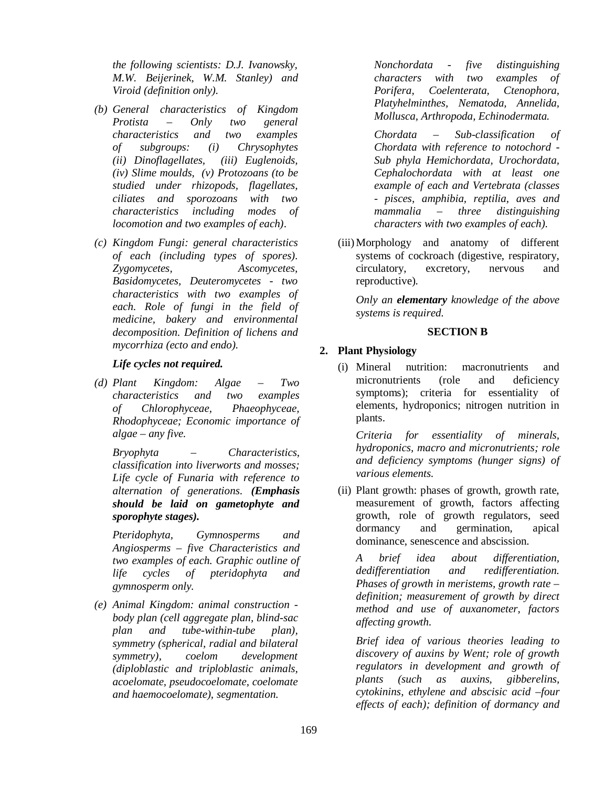*the following scientists: D.J. Ivanowsky, M.W. Beijerinek, W.M. Stanley) and Viroid (definition only).*

- *(b) General characteristics of Kingdom Protista – Only two general characteristics and two examples of subgroups: (i) Chrysophytes (ii) Dinoflagellates, (iii) Euglenoids, (iv) Slime moulds, (v) Protozoans (to be studied under rhizopods, flagellates, ciliates and sporozoans with two characteristics including modes of locomotion and two examples of each)*.
- *(c) Kingdom Fungi: general characteristics of each (including types of spores). Zygomycetes, Ascomycetes, Basidomycetes, Deuteromycetes - two characteristics with two examples of each. Role of fungi in the field of medicine, bakery and environmental decomposition. Definition of lichens and mycorrhiza (ecto and endo).*

### *Life cycles not required.*

*(d) Plant Kingdom: Algae – Two characteristics and two examples of Chlorophyceae, Phaeophyceae, Rhodophyceae; Economic importance of algae – any five.* 

*Bryophyta – Characteristics, classification into liverworts and mosses; Life cycle of Funaria with reference to alternation of generations. (Emphasis should be laid on gametophyte and sporophyte stages).*

*Pteridophyta, Gymnosperms and Angiosperms – five Characteristics and two examples of each. Graphic outline of life cycles of pteridophyta and gymnosperm only.*

*(e) Animal Kingdom: animal construction body plan (cell aggregate plan, blind-sac plan and tube-within-tube plan), symmetry (spherical, radial and bilateral symmetry), coelom development (diploblastic and triploblastic animals, acoelomate, pseudocoelomate, coelomate and haemocoelomate), segmentation.* 

*Nonchordata - five distinguishing characters with two examples of Porifera, Coelenterata, Ctenophora, Platyhelminthes, Nematoda, Annelida, Mollusca, Arthropoda, Echinodermata.*

*Chordata – Sub-classification of Chordata with reference to notochord - Sub phyla Hemichordata, Urochordata, Cephalochordata with at least one example of each and Vertebrata (classes - pisces, amphibia, reptilia, aves and mammalia – three distinguishing characters with two examples of each).*

(iii)Morphology and anatomy of different systems of cockroach (digestive, respiratory, circulatory, excretory, nervous and reproductive)*.*

*Only an elementary knowledge of the above systems is required.*

## **SECTION B**

## **2. Plant Physiology**

(i) Mineral nutrition: macronutrients and micronutrients (role and deficiency symptoms); criteria for essentiality of elements, hydroponics; nitrogen nutrition in plants.

*Criteria for essentiality of minerals, hydroponics, macro and micronutrients; role and deficiency symptoms (hunger signs) of various elements.* 

(ii) Plant growth: phases of growth, growth rate, measurement of growth, factors affecting growth, role of growth regulators, seed dormancy and germination, apical dominance, senescence and abscission.

*A brief idea about differentiation, dedifferentiation and redifferentiation. Phases of growth in meristems, growth rate – definition; measurement of growth by direct method and use of auxanometer, factors affecting growth.*

*Brief idea of various theories leading to discovery of auxins by Went; role of growth regulators in development and growth of plants (such as auxins, gibberelins, cytokinins, ethylene and abscisic acid –four effects of each); definition of dormancy and*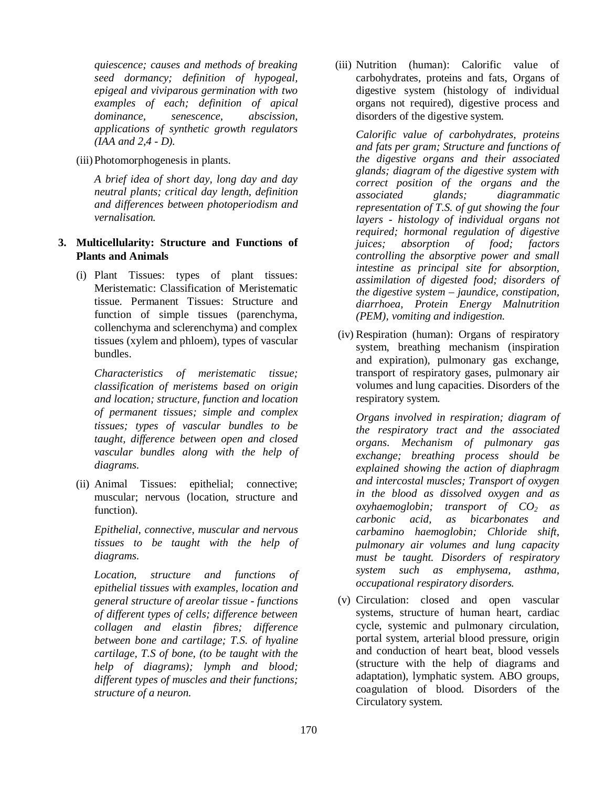*quiescence; causes and methods of breaking seed dormancy; definition of hypogeal, epigeal and viviparous germination with two examples of each; definition of apical dominance, senescence, abscission, applications of synthetic growth regulators (IAA and 2,4 - D).*

(iii) Photomorphogenesis in plants.

*A brief idea of short day, long day and day neutral plants; critical day length, definition and differences between photoperiodism and vernalisation.*

- **3. Multicellularity: Structure and Functions of Plants and Animals** 
	- (i) Plant Tissues: types of plant tissues: Meristematic: Classification of Meristematic tissue. Permanent Tissues: Structure and function of simple tissues (parenchyma, collenchyma and sclerenchyma) and complex tissues (xylem and phloem), types of vascular bundles.

*Characteristics of meristematic tissue; classification of meristems based on origin and location; structure, function and location of permanent tissues; simple and complex tissues; types of vascular bundles to be taught, difference between open and closed vascular bundles along with the help of diagrams.*

(ii) Animal Tissues: epithelial; connective; muscular; nervous (location, structure and function).

*Epithelial, connective, muscular and nervous tissues to be taught with the help of diagrams.*

*Location, structure and functions of epithelial tissues with examples, location and general structure of areolar tissue - functions of different types of cells; difference between collagen and elastin fibres; difference between bone and cartilage; T.S. of hyaline cartilage, T.S of bone, (to be taught with the help of diagrams); lymph and blood; different types of muscles and their functions; structure of a neuron.*

(iii) Nutrition (human): Calorific value of carbohydrates, proteins and fats, Organs of digestive system (histology of individual organs not required), digestive process and disorders of the digestive system.

*Calorific value of carbohydrates, proteins and fats per gram; Structure and functions of the digestive organs and their associated glands; diagram of the digestive system with correct position of the organs and the associated glands; diagrammatic representation of T.S. of gut showing the four layers - histology of individual organs not required; hormonal regulation of digestive juices; absorption of food; factors controlling the absorptive power and small intestine as principal site for absorption, assimilation of digested food; disorders of the digestive system – jaundice, constipation, diarrhoea, Protein Energy Malnutrition (PEM), vomiting and indigestion.*

(iv) Respiration (human): Organs of respiratory system, breathing mechanism (inspiration and expiration), pulmonary gas exchange, transport of respiratory gases, pulmonary air volumes and lung capacities. Disorders of the respiratory system.

*Organs involved in respiration; diagram of the respiratory tract and the associated organs. Mechanism of pulmonary gas exchange; breathing process should be explained showing the action of diaphragm and intercostal muscles; Transport of oxygen in the blood as dissolved oxygen and as oxyhaemoglobin; transport of CO2 as carbonic acid, as bicarbonates and carbamino haemoglobin; Chloride shift, pulmonary air volumes and lung capacity must be taught. Disorders of respiratory system such as emphysema, asthma, occupational respiratory disorders.* 

(v) Circulation: closed and open vascular systems, structure of human heart, cardiac cycle, systemic and pulmonary circulation, portal system, arterial blood pressure, origin and conduction of heart beat, blood vessels (structure with the help of diagrams and adaptation), lymphatic system. ABO groups, coagulation of blood. Disorders of the Circulatory system.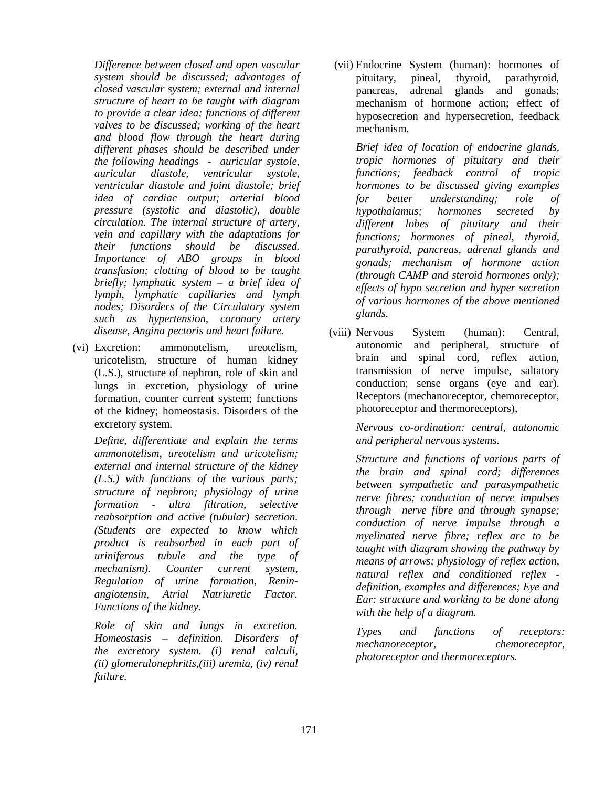*Difference between closed and open vascular system should be discussed; advantages of closed vascular system; external and internal structure of heart to be taught with diagram to provide a clear idea; functions of different valves to be discussed; working of the heart and blood flow through the heart during different phases should be described under the following headings - auricular systole, auricular diastole, ventricular systole, ventricular diastole and joint diastole; brief idea of cardiac output; arterial blood pressure (systolic and diastolic), double circulation. The internal structure of artery, vein and capillary with the adaptations for their functions should be discussed. Importance of ABO groups in blood transfusion; clotting of blood to be taught briefly; lymphatic system – a brief idea of lymph, lymphatic capillaries and lymph nodes; Disorders of the Circulatory system such as hypertension, coronary artery disease, Angina pectoris and heart failure.*

(vi) Excretion: ammonotelism, ureotelism, uricotelism, structure of human kidney (L.S.), structure of nephron, role of skin and lungs in excretion, physiology of urine formation, counter current system; functions of the kidney; homeostasis. Disorders of the excretory system.

*Define, differentiate and explain the terms ammonotelism, ureotelism and uricotelism; external and internal structure of the kidney (L.S.) with functions of the various parts; structure of nephron; physiology of urine formation - ultra filtration, selective reabsorption and active (tubular) secretion. (Students are expected to know which product is reabsorbed in each part of uriniferous tubule and the type of mechanism). Counter current system, Regulation of urine formation, Reninangiotensin, Atrial Natriuretic Factor. Functions of the kidney.* 

*Role of skin and lungs in excretion. Homeostasis – definition. Disorders of the excretory system. (i) renal calculi, (ii) glomerulonephritis,(iii) uremia, (iv) renal failure.*

(vii) Endocrine System (human): hormones of pituitary, pineal, thyroid, parathyroid, pancreas, adrenal glands and gonads; mechanism of hormone action; effect of hyposecretion and hypersecretion, feedback mechanism.

*Brief idea of location of endocrine glands, tropic hormones of pituitary and their functions; feedback control of tropic hormones to be discussed giving examples for better understanding; role of hypothalamus; hormones secreted by different lobes of pituitary and their functions; hormones of pineal, thyroid, parathyroid, pancreas, adrenal glands and gonads; mechanism of hormone action (through CAMP and steroid hormones only); effects of hypo secretion and hyper secretion of various hormones of the above mentioned glands.*

(viii) Nervous System (human): Central, autonomic and peripheral, structure of brain and spinal cord, reflex action, transmission of nerve impulse, saltatory conduction; sense organs (eye and ear). Receptors (mechanoreceptor, chemoreceptor, photoreceptor and thermoreceptors),

> *Nervous co-ordination: central, autonomic and peripheral nervous systems.*

*Structure and functions of various parts of the brain and spinal cord; differences between sympathetic and parasympathetic nerve fibres; conduction of nerve impulses through nerve fibre and through synapse; conduction of nerve impulse through a myelinated nerve fibre; reflex arc to be taught with diagram showing the pathway by means of arrows; physiology of reflex action, natural reflex and conditioned reflex definition, examples and differences; Eye and Ear: structure and working to be done along with the help of a diagram.*

*Types and functions of receptors: mechanoreceptor, chemoreceptor, photoreceptor and thermoreceptors.*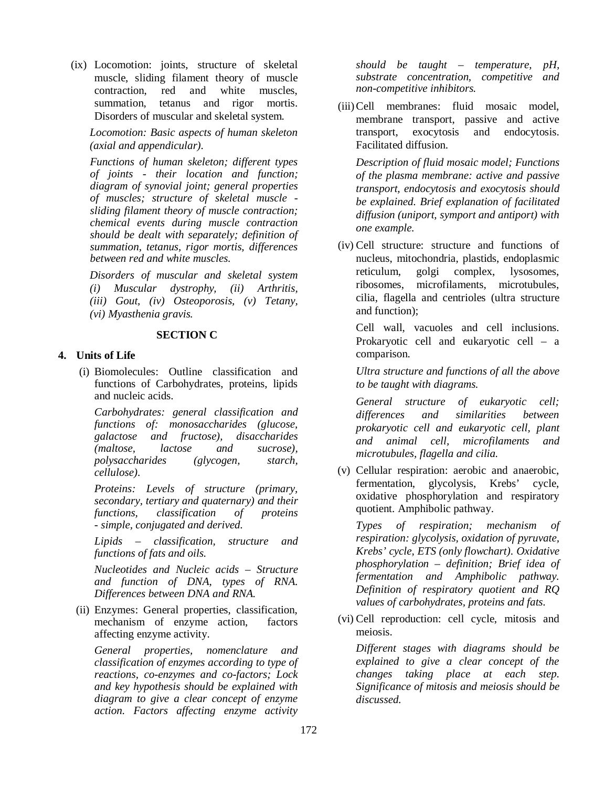(ix) Locomotion: joints, structure of skeletal muscle, sliding filament theory of muscle contraction, red and white muscles, summation, tetanus and rigor mortis. Disorders of muscular and skeletal system.

*Locomotion: Basic aspects of human skeleton (axial and appendicular).*

*Functions of human skeleton; different types of joints - their location and function; diagram of synovial joint; general properties of muscles; structure of skeletal muscle sliding filament theory of muscle contraction; chemical events during muscle contraction should be dealt with separately; definition of summation, tetanus, rigor mortis, differences between red and white muscles.* 

*Disorders of muscular and skeletal system (i) Muscular dystrophy, (ii) Arthritis, (iii) Gout, (iv) Osteoporosis, (v) Tetany, (vi) Myasthenia gravis.* 

## **SECTION C**

## **4. Units of Life**

 (i) Biomolecules: Outline classification and functions of Carbohydrates, proteins, lipids and nucleic acids.

*Carbohydrates: general classification and functions of: monosaccharides (glucose, galactose and fructose), disaccharides (maltose, lactose and sucrose), polysaccharides (glycogen, starch, cellulose).* 

*Proteins: Levels of structure (primary, secondary, tertiary and quaternary) and their classification of proteins - simple, conjugated and derived.*

*Lipids – classification, structure and functions of fats and oils.* 

*Nucleotides and Nucleic acids – Structure and function of DNA, types of RNA. Differences between DNA and RNA.* 

(ii) Enzymes: General properties, classification, mechanism of enzyme action, factors affecting enzyme activity.

*General properties, nomenclature and classification of enzymes according to type of reactions, co-enzymes and co-factors; Lock and key hypothesis should be explained with diagram to give a clear concept of enzyme action. Factors affecting enzyme activity* 

*should be taught – temperature, pH, substrate concentration, competitive and non-competitive inhibitors.* 

(iii)Cell membranes: fluid mosaic model, membrane transport, passive and active transport, exocytosis and endocytosis. Facilitated diffusion.

*Description of fluid mosaic model; Functions of the plasma membrane: active and passive transport, endocytosis and exocytosis should be explained. Brief explanation of facilitated diffusion (uniport, symport and antiport) with one example.*

(iv) Cell structure: structure and functions of nucleus, mitochondria, plastids, endoplasmic reticulum, golgi complex, lysosomes, ribosomes, microfilaments, microtubules, cilia, flagella and centrioles (ultra structure and function);

Cell wall, vacuoles and cell inclusions. Prokaryotic cell and eukaryotic cell – a comparison.

*Ultra structure and functions of all the above to be taught with diagrams.* 

*General structure of eukaryotic cell; differences and similarities between prokaryotic cell and eukaryotic cell, plant and animal cell, microfilaments and microtubules, flagella and cilia.*

(v) Cellular respiration: aerobic and anaerobic, fermentation, glycolysis, Krebs' cycle, oxidative phosphorylation and respiratory quotient. Amphibolic pathway.

*Types of respiration; mechanism of respiration: glycolysis, oxidation of pyruvate, Krebs' cycle, ETS (only flowchart). Oxidative phosphorylation – definition; Brief idea of fermentation and Amphibolic pathway. Definition of respiratory quotient and RQ values of carbohydrates, proteins and fats.*

(vi) Cell reproduction: cell cycle, mitosis and meiosis.

*Different stages with diagrams should be explained to give a clear concept of the changes taking place at each step. Significance of mitosis and meiosis should be discussed.*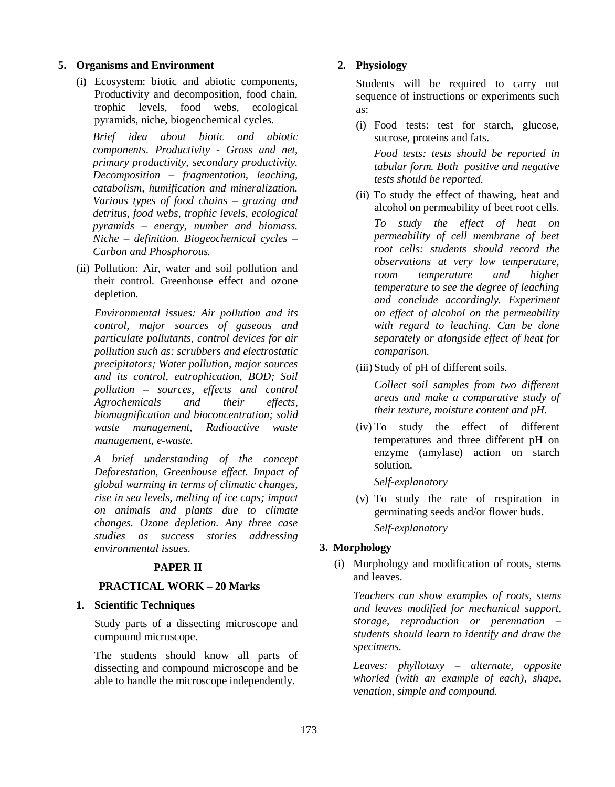#### **5. Organisms and Environment**

(i) Ecosystem: biotic and abiotic components, Productivity and decomposition, food chain, trophic levels, food webs, ecological pyramids, niche, biogeochemical cycles.

*Brief idea about biotic and abiotic components. Productivity* - *Gross and net, primary productivity, secondary productivity. Decomposition – fragmentation, leaching, catabolism, humification and mineralization. Various types of food chains – grazing and detritus, food webs, trophic levels, ecological pyramids – energy, number and biomass. Niche – definition. Biogeochemical cycles – Carbon and Phosphorous.* 

(ii) Pollution: Air, water and soil pollution and their control. Greenhouse effect and ozone depletion.

*Environmental issues: Air pollution and its control, major sources of gaseous and particulate pollutants, control devices for air pollution such as: scrubbers and electrostatic precipitators; Water pollution, major sources and its control, eutrophication, BOD; Soil pollution – sources, effects and control Agrochemicals and their effects, biomagnification and bioconcentration; solid waste management, Radioactive waste management, e-waste.*

*A brief understanding of the concept Deforestation, Greenhouse effect. Impact of global warming in terms of climatic changes, rise in sea levels, melting of ice caps; impact on animals and plants due to climate changes. Ozone depletion. Any three case studies as success stories addressing environmental issues.*

## **PAPER II**

### **PRACTICAL WORK – 20 Marks**

#### **1. Scientific Techniques**

Study parts of a dissecting microscope and compound microscope.

The students should know all parts of dissecting and compound microscope and be able to handle the microscope independently.

#### **2. Physiology**

Students will be required to carry out sequence of instructions or experiments such as:

(i) Food tests: test for starch, glucose, sucrose, proteins and fats.

*Food tests: tests should be reported in tabular form. Both positive and negative tests should be reported.*

(ii) To study the effect of thawing, heat and alcohol on permeability of beet root cells.

*To study the effect of heat on permeability of cell membrane of beet root cells: students should record the observations at very low temperature, room temperature and higher temperature to see the degree of leaching and conclude accordingly. Experiment on effect of alcohol on the permeability with regard to leaching. Can be done separately or alongside effect of heat for comparison.*

(iii) Study of pH of different soils.

*Collect soil samples from two different areas and make a comparative study of their texture, moisture content and pH.* 

(iv) To study the effect of different temperatures and three different pH on enzyme (amylase) action on starch solution.

*Self-explanatory*

(v) To study the rate of respiration in germinating seeds and/or flower buds. *Self-explanatory*

## **3. Morphology**

(i) Morphology and modification of roots, stems and leaves.

*Teachers can show examples of roots, stems and leaves modified for mechanical support, storage, reproduction or perennation – students should learn to identify and draw the specimens.*

*Leaves: phyllotaxy – alternate, opposite whorled (with an example of each), shape, venation, simple and compound.*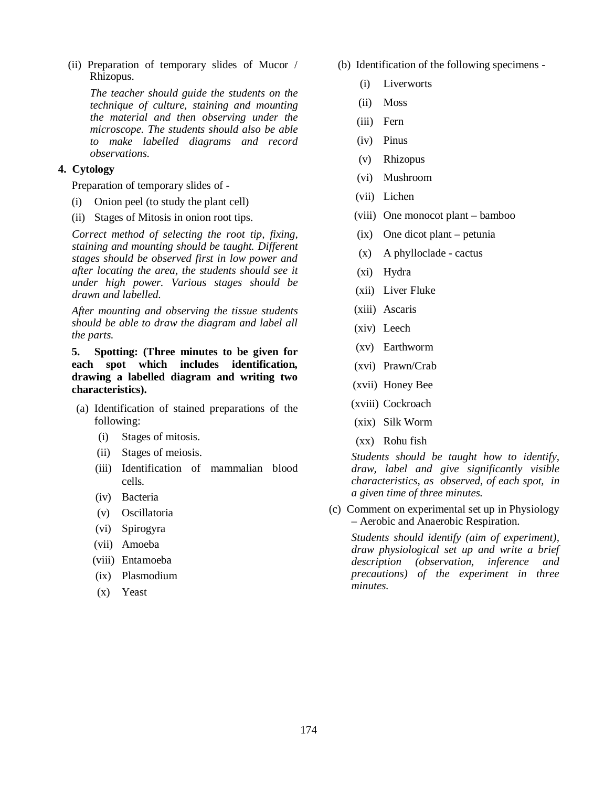(ii) Preparation of temporary slides of Mucor / Rhizopus.

*The teacher should guide the students on the technique of culture, staining and mounting the material and then observing under the microscope. The students should also be able to make labelled diagrams and record observations.* 

## **4. Cytology**

Preparation of temporary slides of -

- (i) Onion peel (to study the plant cell)
- (ii) Stages of Mitosis in onion root tips.

*Correct method of selecting the root tip, fixing, staining and mounting should be taught. Different stages should be observed first in low power and after locating the area, the students should see it under high power. Various stages should be drawn and labelled.* 

*After mounting and observing the tissue students should be able to draw the diagram and label all the parts.*

**5. Spotting: (Three minutes to be given for each spot which includes identification, drawing a labelled diagram and writing two characteristics).**

- (a) Identification of stained preparations of the following:
	- (i) Stages of mitosis.
	- (ii) Stages of meiosis.
	- (iii) Identification of mammalian blood cells*.*
	- (iv) Bacteria
	- (v) Oscillatoria
	- (vi) Spirogyra
	- (vii) Amoeba
	- (viii) Entamoeba
	- (ix) Plasmodium
	- (x) Yeast
- (b) Identification of the following specimens
	- (i) Liverworts
	- (ii) Moss
	- (iii) Fern
	- (iv) Pinus
	- (v) Rhizopus
	- (vi) Mushroom
	- (vii) Lichen
	- (viii) One monocot plant bamboo
	- (ix) One dicot plant petunia
	- (x) A phylloclade cactus
	- (xi) Hydra
	- (xii) Liver Fluke
	- (xiii) Ascaris
	- (xiv) Leech
	- (xv) Earthworm
	- (xvi) Prawn/Crab
	- (xvii) Honey Bee
	- (xviii) Cockroach
	- (xix) Silk Worm
	- (xx) Rohu fish

*Students should be taught how to identify, draw, label and give significantly visible characteristics, as observed, of each spot, in a given time of three minutes.*

(c) Comment on experimental set up in Physiology – Aerobic and Anaerobic Respiration.

*Students should identify (aim of experiment), draw physiological set up and write a brief description (observation, inference and precautions) of the experiment in three minutes.*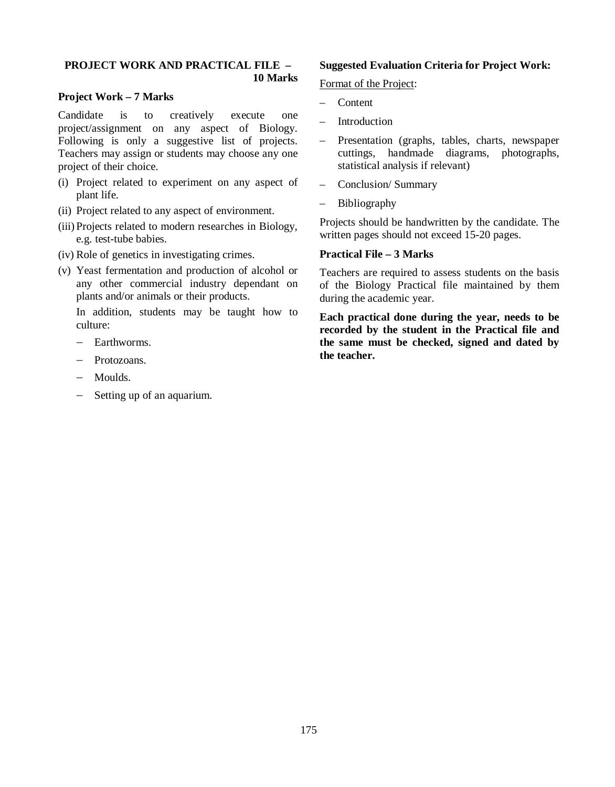#### **PROJECT WORK AND PRACTICAL FILE – 10 Marks**

### **Project Work – 7 Marks**

Candidate is to creatively execute one project/assignment on any aspect of Biology. Following is only a suggestive list of projects. Teachers may assign or students may choose any one project of their choice.

- (i) Project related to experiment on any aspect of plant life.
- (ii) Project related to any aspect of environment.
- (iii) Projects related to modern researches in Biology, e.g. test-tube babies.
- (iv) Role of genetics in investigating crimes.
- (v) Yeast fermentation and production of alcohol or any other commercial industry dependant on plants and/or animals or their products.

In addition, students may be taught how to culture:

- Earthworms
- Protozoans.
- Moulds.
- $-$  Setting up of an aquarium.

### **Suggested Evaluation Criteria for Project Work:**

Format of the Project:

- Content
- **Introduction**
- Presentation (graphs, tables, charts, newspaper cuttings, handmade diagrams, photographs, statistical analysis if relevant)
- Conclusion/ Summary
- Bibliography

Projects should be handwritten by the candidate. The written pages should not exceed 15-20 pages.

### **Practical File – 3 Marks**

Teachers are required to assess students on the basis of the Biology Practical file maintained by them during the academic year.

**Each practical done during the year, needs to be recorded by the student in the Practical file and the same must be checked, signed and dated by the teacher.**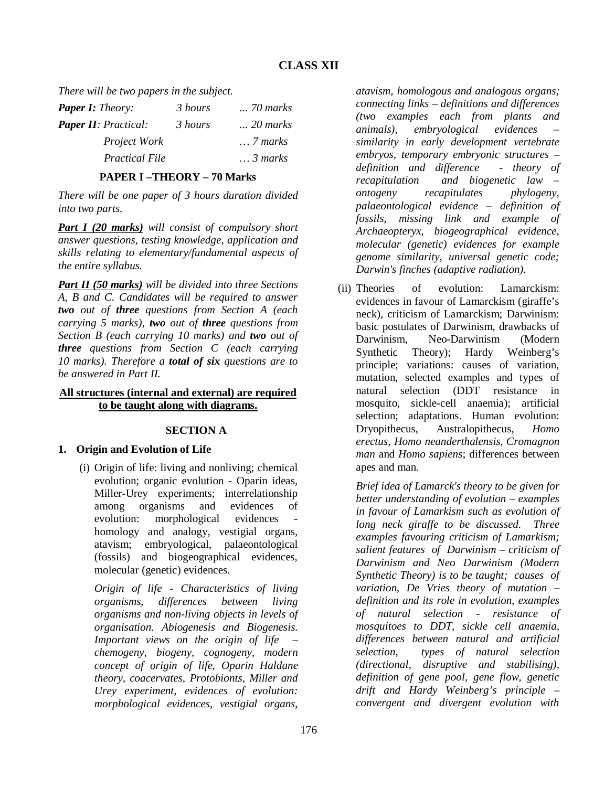*There will be two papers in the subject.*

| <b>Paper I:</b> Theory:     | 3 hours | <i>70 marks</i>   |
|-----------------------------|---------|-------------------|
| <b>Paper II:</b> Practical: | 3 hours | $\ldots$ 20 marks |
| Project Work                |         | $\ldots$ 7 marks  |
| <i>Practical File</i>       |         | $\ldots$ 3 marks  |

## **PAPER I –THEORY – 70 Marks**

*There will be one paper of 3 hours duration divided into two parts.*

*Part I (20 marks) will consist of compulsory short answer questions, testing knowledge, application and skills relating to elementary/fundamental aspects of the entire syllabus.*

*Part II (50 marks) will be divided into three Sections A, B and C. Candidates will be required to answer two out of three questions from Section A (each carrying 5 marks), two out of three questions from Section B (each carrying 10 marks) and two out of three questions from Section C (each carrying 10 marks). Therefore a total of six questions are to be answered in Part II.*

## **All structures (internal and external) are required to be taught along with diagrams.**

## **SECTION A**

## **1. Origin and Evolution of Life**

(i) Origin of life: living and nonliving; chemical evolution; organic evolution - Oparin ideas, Miller-Urey experiments; interrelationship among organisms and evidences of evolution: morphological evidences homology and analogy, vestigial organs, atavism; embryological, palaeontological (fossils) and biogeographical evidences, molecular (genetic) evidences.

*Origin of life - Characteristics of living organisms, differences between living organisms and non-living objects in levels of organisation. Abiogenesis and Biogenesis. Important views on the origin of life – chemogeny, biogeny, cognogeny, modern concept of origin of life, Oparin Haldane theory, coacervates, Protobionts, Miller and Urey experiment, evidences of evolution: morphological evidences, vestigial organs,* 

*atavism, homologous and analogous organs; connecting links – definitions and differences (two examples each from plants and animals), embryological evidences – similarity in early development vertebrate embryos, temporary embryonic structures – definition and difference - theory of recapitulation and biogenetic law – ontogeny recapitulates phylogeny, palaeontological evidence – definition of fossils, missing link and example of Archaeopteryx, biogeographical evidence, molecular (genetic) evidences for example genome similarity, universal genetic code; Darwin's finches (adaptive radiation).* 

(ii) Theories of evolution: Lamarckism: evidences in favour of Lamarckism (giraffe's neck), criticism of Lamarckism; Darwinism: basic postulates of Darwinism, drawbacks of Darwinism, Neo-Darwinism (Modern Synthetic Theory); Hardy Weinberg's principle; variations: causes of variation, mutation, selected examples and types of natural selection (DDT resistance in mosquito, sickle-cell anaemia); artificial selection; adaptations. Human evolution: Dryopithecus, Australopithecus, *Homo erectus, Homo neanderthalensis, Cromagnon man* and *Homo sapiens*; differences between apes and man.

*Brief idea of Lamarck's theory to be given for better understanding of evolution – examples in favour of Lamarkism such as evolution of long neck giraffe to be discussed. Three examples favouring criticism of Lamarkism; salient features of Darwinism – criticism of Darwinism and Neo Darwinism (Modern Synthetic Theory) is to be taught; causes of variation, De Vries theory of mutation – definition and its role in evolution, examples of natural selection - resistance of mosquitoes to DDT, sickle cell anaemia, differences between natural and artificial selection, types of natural selection (directional, disruptive and stabilising), definition of gene pool, gene flow, genetic drift and Hardy Weinberg's principle – convergent and divergent evolution with*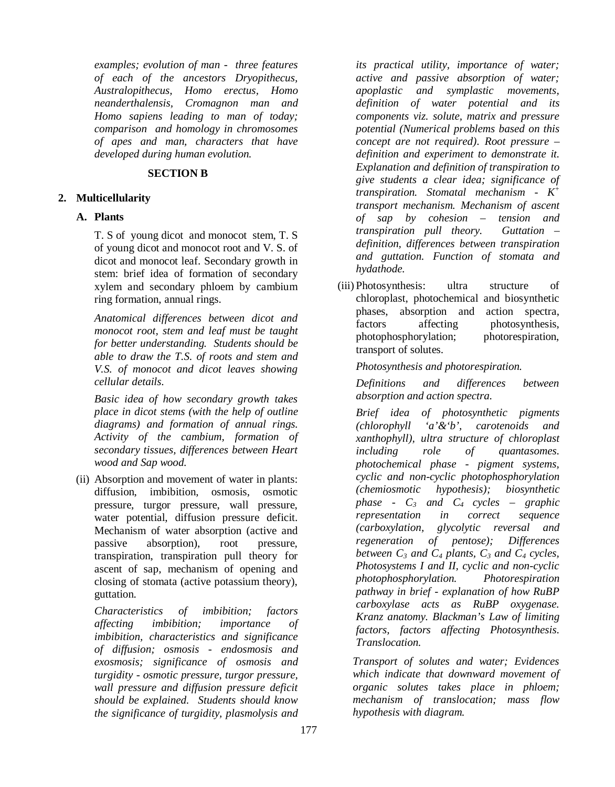*examples; evolution of man - three features of each of the ancestors Dryopithecus, Australopithecus, Homo erectus, Homo neanderthalensis, Cromagnon man and Homo sapiens leading to man of today; comparison and homology in chromosomes of apes and man, characters that have developed during human evolution.* 

### **SECTION B**

## **2. Multicellularity**

## **A. Plants**

T. S of young dicot and monocot stem, T. S of young dicot and monocot root and V. S. of dicot and monocot leaf. Secondary growth in stem: brief idea of formation of secondary xylem and secondary phloem by cambium ring formation, annual rings.

*Anatomical differences between dicot and monocot root, stem and leaf must be taught for better understanding. Students should be able to draw the T.S. of roots and stem and V.S. of monocot and dicot leaves showing cellular details.* 

*Basic idea of how secondary growth takes place in dicot stems (with the help of outline diagrams) and formation of annual rings. Activity of the cambium, formation of secondary tissues, differences between Heart wood and Sap wood.*

(ii) Absorption and movement of water in plants: diffusion, imbibition, osmosis, osmotic pressure, turgor pressure, wall pressure, water potential, diffusion pressure deficit. Mechanism of water absorption (active and passive absorption), root pressure, transpiration, transpiration pull theory for ascent of sap, mechanism of opening and closing of stomata (active potassium theory), guttation.

*Characteristics of imbibition; factors affecting imbibition; importance of imbibition, characteristics and significance of diffusion; osmosis - endosmosis and exosmosis; significance of osmosis and turgidity - osmotic pressure, turgor pressure, wall pressure and diffusion pressure deficit should be explained. Students should know the significance of turgidity, plasmolysis and* 

*its practical utility, importance of water; active and passive absorption of water; apoplastic and symplastic movements, definition of water potential and its components viz. solute, matrix and pressure potential (Numerical problems based on this concept are not required). Root pressure – definition and experiment to demonstrate it. Explanation and definition of transpiration to give students a clear idea; significance of transpiration. Stomatal mechanism - K<sup>+</sup> transport mechanism. Mechanism of ascent of sap by cohesion – tension and transpiration pull theory. Guttation – definition, differences between transpiration and guttation. Function of stomata and hydathode.*

(iii) Photosynthesis: ultra structure of chloroplast, photochemical and biosynthetic phases, absorption and action spectra, factors affecting photosynthesis, photophosphorylation; photorespiration, transport of solutes.

*Photosynthesis and photorespiration.*

*Definitions and differences between absorption and action spectra.*

*Brief idea of photosynthetic pigments (chlorophyll 'a'&'b', carotenoids and xanthophyll), ultra structure of chloroplast including role of quantasomes. photochemical phase - pigment systems, cyclic and non-cyclic photophosphorylation (chemiosmotic hypothesis); biosynthetic phase - C3 and C4 cycles – graphic representation in correct sequence (carboxylation, glycolytic reversal and regeneration of pentose); Differences between*  $C_3$  *and*  $C_4$  *plants,*  $C_3$  *and*  $C_4$  *cycles, Photosystems I and II, cyclic and non-cyclic photophosphorylation. Photorespiration pathway in brief - explanation of how RuBP carboxylase acts as RuBP oxygenase. Kranz anatomy. Blackman's Law of limiting factors, factors affecting Photosynthesis. Translocation.*

*Transport of solutes and water; Evidences which indicate that downward movement of organic solutes takes place in phloem; mechanism of translocation; mass flow hypothesis with diagram.*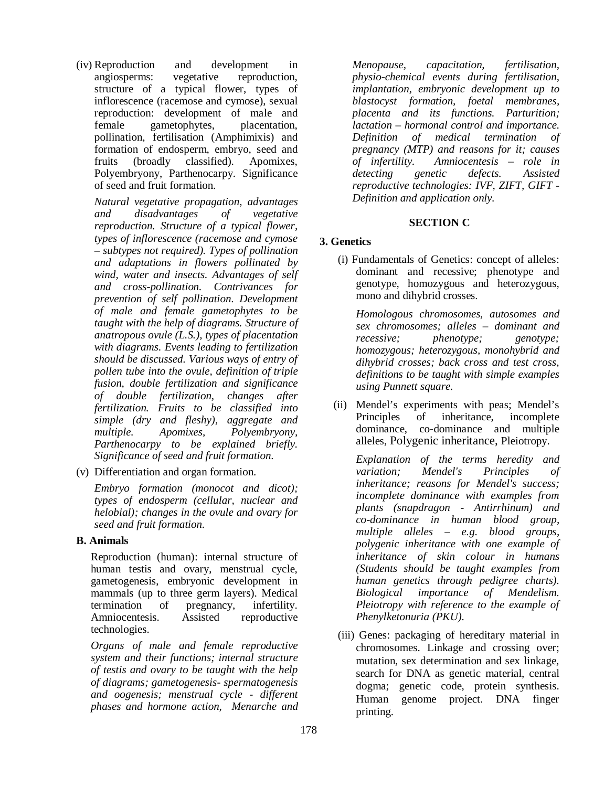(iv) Reproduction and development in angiosperms: vegetative reproduction, structure of a typical flower, types of inflorescence (racemose and cymose), sexual reproduction: development of male and female gametophytes, placentation, pollination, fertilisation (Amphimixis) and formation of endosperm, embryo, seed and fruits (broadly classified). Apomixes, Polyembryony, Parthenocarpy. Significance of seed and fruit formation.

*Natural vegetative propagation, advantages and disadvantages of vegetative reproduction. Structure of a typical flower, types of inflorescence (racemose and cymose – subtypes not required). Types of pollination and adaptations in flowers pollinated by wind, water and insects. Advantages of self and cross-pollination. Contrivances for prevention of self pollination. Development of male and female gametophytes to be taught with the help of diagrams. Structure of anatropous ovule (L.S.), types of placentation with diagrams. Events leading to fertilization should be discussed. Various ways of entry of pollen tube into the ovule, definition of triple fusion, double fertilization and significance of double fertilization, changes after fertilization. Fruits to be classified into simple (dry and fleshy), aggregate and multiple. Apomixes, Polyembryony, Parthenocarpy to be explained briefly. Significance of seed and fruit formation.*

(v) Differentiation and organ formation.

*Embryo formation (monocot and dicot); types of endosperm (cellular, nuclear and helobial); changes in the ovule and ovary for seed and fruit formation.* 

## **B. Animals**

Reproduction (human): internal structure of human testis and ovary, menstrual cycle, gametogenesis, embryonic development in mammals (up to three germ layers). Medical termination of pregnancy, infertility. Amniocentesis. Assisted reproductive technologies.

*Organs of male and female reproductive system and their functions; internal structure of testis and ovary to be taught with the help of diagrams; gametogenesis- spermatogenesis and oogenesis; menstrual cycle - different phases and hormone action, Menarche and* 

*Menopause, capacitation, fertilisation, physio-chemical events during fertilisation, implantation, embryonic development up to blastocyst formation, foetal membranes, placenta and its functions. Parturition; lactation – hormonal control and importance. Definition of medical termination of pregnancy (MTP) and reasons for it; causes of infertility. Amniocentesis – role in detecting genetic defects. Assisted reproductive technologies: IVF, ZIFT, GIFT - Definition and application only.*

## **SECTION C**

## **3. Genetics**

(i) Fundamentals of Genetics: concept of alleles: dominant and recessive; phenotype and genotype, homozygous and heterozygous, mono and dihybrid crosses.

*Homologous chromosomes, autosomes and sex chromosomes; alleles – dominant and recessive; phenotype; genotype; homozygous; heterozygous, monohybrid and dihybrid crosses; back cross and test cross, definitions to be taught with simple examples using Punnett square.*

(ii) Mendel's experiments with peas; Mendel's Principles of inheritance, incomplete dominance, co-dominance and multiple alleles, Polygenic inheritance, Pleiotropy.

*Explanation of the terms heredity and variation; Mendel's Principles of inheritance; reasons for Mendel's success; incomplete dominance with examples from plants (snapdragon - Antirrhinum) and co-dominance in human blood group, multiple alleles – e.g. blood groups, polygenic inheritance with one example of inheritance of skin colour in humans (Students should be taught examples from human genetics through pedigree charts). Biological importance of Mendelism. Pleiotropy with reference to the example of Phenylketonuria (PKU).*

(iii) Genes: packaging of hereditary material in chromosomes. Linkage and crossing over; mutation, sex determination and sex linkage, search for DNA as genetic material, central dogma; genetic code, protein synthesis. Human genome project. DNA finger printing.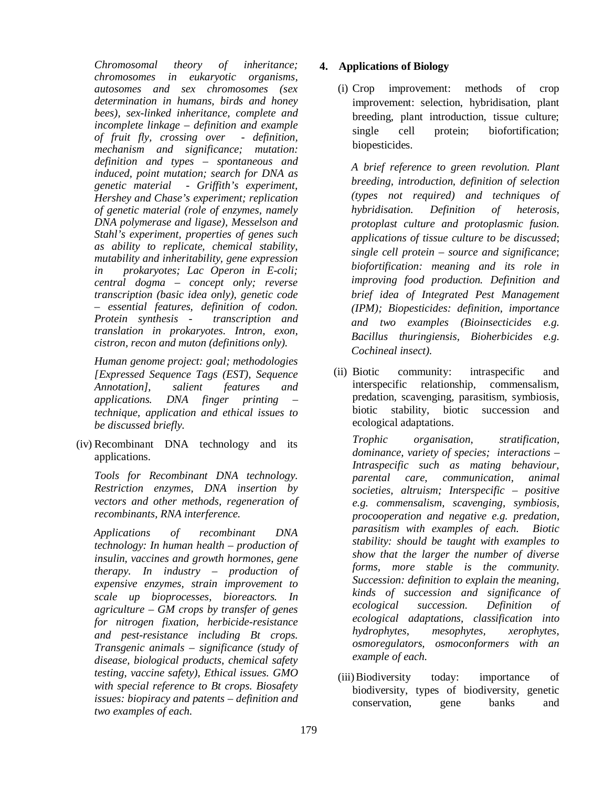*Chromosomal theory of inheritance; chromosomes in eukaryotic organisms, autosomes and sex chromosomes (sex determination in humans, birds and honey bees), sex-linked inheritance, complete and incomplete linkage – definition and example of fruit fly, crossing over - definition, mechanism and significance; mutation: definition and types – spontaneous and induced, point mutation; search for DNA as genetic material - Griffith's experiment, Hershey and Chase's experiment; replication of genetic material (role of enzymes, namely DNA polymerase and ligase), Messelson and Stahl's experiment, properties of genes such as ability to replicate, chemical stability, mutability and inheritability, gene expression in prokaryotes; Lac Operon in E-coli; central dogma – concept only; reverse transcription (basic idea only), genetic code – essential features, definition of codon. Protein synthesis - transcription and translation in prokaryotes. Intron, exon, cistron, recon and muton (definitions only).* 

*Human genome project: goal; methodologies [Expressed Sequence Tags (EST), Sequence Annotation], salient features and applications. DNA finger printing – technique, application and ethical issues to be discussed briefly.* 

(iv) Recombinant DNA technology and its applications.

*Tools for Recombinant DNA technology. Restriction enzymes, DNA insertion by vectors and other methods, regeneration of recombinants, RNA interference.* 

 *Applications of recombinant DNA technology: In human health – production of insulin, vaccines and growth hormones, gene therapy. In industry – production of expensive enzymes, strain improvement to scale up bioprocesses, bioreactors. In agriculture – GM crops by transfer of genes for nitrogen fixation, herbicide-resistance and pest-resistance including Bt crops. Transgenic animals – significance (study of disease, biological products, chemical safety testing, vaccine safety), Ethical issues. GMO with special reference to Bt crops. Biosafety issues: biopiracy and patents – definition and two examples of each.*

## **4. Applications of Biology**

(i) Crop improvement: methods of crop improvement: selection, hybridisation, plant breeding, plant introduction, tissue culture; single cell protein; biofortification; biopesticides.

*A brief reference to green revolution. Plant breeding, introduction, definition of selection (types not required) and techniques of hybridisation. Definition of heterosis, protoplast culture and protoplasmic fusion. applications of tissue culture to be discussed*; *single cell protein – source and significance*; *biofortification: meaning and its role in improving food production. Definition and brief idea of Integrated Pest Management (IPM); Biopesticides: definition, importance and two examples (Bioinsecticides e.g. Bacillus thuringiensis, Bioherbicides e.g. Cochineal insect).*

(ii) Biotic community: intraspecific and interspecific relationship, commensalism, predation, scavenging, parasitism, symbiosis, biotic stability, biotic succession and ecological adaptations.

*Trophic organisation, stratification, dominance, variety of species; interactions – Intraspecific such as mating behaviour, parental care, communication, animal societies, altruism; Interspecific – positive e.g. commensalism, scavenging, symbiosis, procooperation and negative e.g. predation, parasitism with examples of each. Biotic stability: should be taught with examples to show that the larger the number of diverse forms, more stable is the community. Succession: definition to explain the meaning, kinds of succession and significance of ecological succession. Definition of ecological adaptations, classification into hydrophytes, mesophytes, xerophytes, osmoregulators, osmoconformers with an example of each.*

(iii)Biodiversity today: importance of biodiversity, types of biodiversity, genetic conservation, gene banks and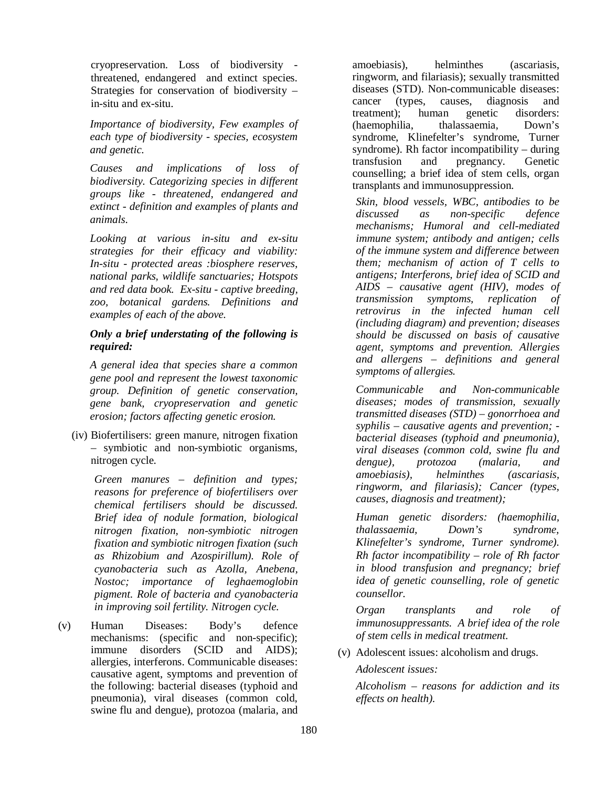cryopreservation. Loss of biodiversity threatened, endangered and extinct species. Strategies for conservation of biodiversity – in-situ and ex-situ.

*Importance of biodiversity, Few examples of each type of biodiversity - species, ecosystem and genetic.*

*Causes and implications of loss of biodiversity. Categorizing species in different groups like - threatened, endangered and extinct - definition and examples of plants and animals.* 

*Looking at various in-situ and ex-situ strategies for their efficacy and viability: In-situ - protected areas :biosphere reserves, national parks, wildlife sanctuaries; Hotspots and red data book. Ex-situ - captive breeding, zoo, botanical gardens. Definitions and examples of each of the above.*

### *Only a brief understating of the following is required:*

*A general idea that species share a common gene pool and represent the lowest taxonomic group. Definition of genetic conservation, gene bank, cryopreservation and genetic erosion; factors affecting genetic erosion.* 

(iv) Biofertilisers: green manure, nitrogen fixation – symbiotic and non-symbiotic organisms, nitrogen cycle.

*Green manures – definition and types; reasons for preference of biofertilisers over chemical fertilisers should be discussed. Brief idea of nodule formation, biological nitrogen fixation, non-symbiotic nitrogen fixation and symbiotic nitrogen fixation (such as Rhizobium and Azospirillum). Role of cyanobacteria such as Azolla, Anebena, Nostoc; importance of leghaemoglobin pigment. Role of bacteria and cyanobacteria in improving soil fertility. Nitrogen cycle.*

(v) Human Diseases: Body's defence mechanisms: (specific and non-specific); immune disorders (SCID and AIDS); allergies, interferons. Communicable diseases: causative agent, symptoms and prevention of the following: bacterial diseases (typhoid and pneumonia), viral diseases (common cold, swine flu and dengue), protozoa (malaria, and amoebiasis), helminthes (ascariasis, ringworm, and filariasis); sexually transmitted diseases (STD). Non-communicable diseases: cancer (types, causes, diagnosis and treatment); human genetic disorders: (haemophilia, thalassaemia, Down's syndrome, Klinefelter's syndrome, Turner syndrome). Rh factor incompatibility – during transfusion and pregnancy. Genetic counselling; a brief idea of stem cells, organ transplants and immunosuppression.

*Skin, blood vessels, WBC, antibodies to be discussed as non-specific defence mechanisms; Humoral and cell-mediated immune system; antibody and antigen; cells of the immune system and difference between them; mechanism of action of T cells to antigens; Interferons, brief idea of SCID and AIDS – causative agent (HIV), modes of transmission symptoms, replication of retrovirus in the infected human cell (including diagram) and prevention; diseases should be discussed on basis of causative agent, symptoms and prevention. Allergies and allergens – definitions and general symptoms of allergies.*

*Communicable and Non-communicable diseases; modes of transmission, sexually transmitted diseases (STD) – gonorrhoea and syphilis – causative agents and prevention; bacterial diseases (typhoid and pneumonia), viral diseases (common cold, swine flu and dengue), protozoa (malaria, and amoebiasis), helminthes (ascariasis, ringworm, and filariasis); Cancer (types, causes, diagnosis and treatment);* 

*Human genetic disorders: (haemophilia, thalassaemia, Down's syndrome, Klinefelter's syndrome, Turner syndrome). Rh factor incompatibility – role of Rh factor in blood transfusion and pregnancy; brief idea of genetic counselling, role of genetic counsellor.* 

*Organ transplants and role of immunosuppressants. A brief idea of the role of stem cells in medical treatment.*

(v) Adolescent issues: alcoholism and drugs.

*Adolescent issues:*

*Alcoholism – reasons for addiction and its effects on health).*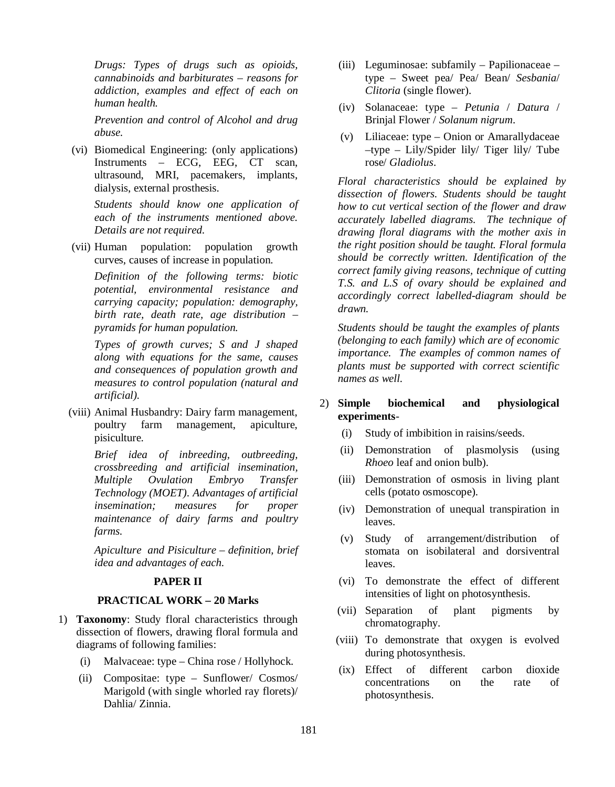*Drugs: Types of drugs such as opioids, cannabinoids and barbiturates – reasons for addiction, examples and effect of each on human health.*

*Prevention and control of Alcohol and drug abuse.* 

(vi) Biomedical Engineering: (only applications) Instruments – ECG, EEG, CT scan, ultrasound, MRI, pacemakers, implants, dialysis, external prosthesis.

*Students should know one application of each of the instruments mentioned above. Details are not required.* 

(vii) Human population: population growth curves, causes of increase in population.

*Definition of the following terms: biotic potential, environmental resistance and carrying capacity; population: demography, birth rate, death rate, age distribution – pyramids for human population.*

*Types of growth curves; S and J shaped along with equations for the same, causes and consequences of population growth and measures to control population (natural and artificial).*

(viii) Animal Husbandry: Dairy farm management, poultry farm management, apiculture, pisiculture.

> *Brief idea of inbreeding, outbreeding, crossbreeding and artificial insemination, Multiple Ovulation Embryo Transfer Technology (MOET). Advantages of artificial insemination; measures for proper maintenance of dairy farms and poultry farms.*

> *Apiculture and Pisiculture – definition, brief idea and advantages of each.*

## **PAPER II**

#### **PRACTICAL WORK – 20 Marks**

- 1) **Taxonomy**: Study floral characteristics through dissection of flowers, drawing floral formula and diagrams of following families:
	- (i) Malvaceae: type China rose / Hollyhock.
	- (ii) Compositae: type Sunflower/ Cosmos/ Marigold (with single whorled ray florets)/ Dahlia/ Zinnia.
- (iii) Leguminosae: subfamily Papilionaceae type – Sweet pea/ Pea/ Bean/ *Sesbania*/ *Clitoria* (single flower).
- (iv) Solanaceae: type *Petunia* / *Datura* / Brinjal Flower / *Solanum nigrum*.
- (v) Liliaceae: type Onion or Amarallydaceae –type – Lily/Spider lily/ Tiger lily/ Tube rose/ *Gladiolus*.

*Floral characteristics should be explained by dissection of flowers. Students should be taught how to cut vertical section of the flower and draw accurately labelled diagrams. The technique of drawing floral diagrams with the mother axis in the right position should be taught. Floral formula should be correctly written. Identification of the correct family giving reasons, technique of cutting T.S. and L.S of ovary should be explained and accordingly correct labelled-diagram should be drawn.*

*Students should be taught the examples of plants (belonging to each family) which are of economic importance. The examples of common names of plants must be supported with correct scientific names as well.*

## 2) **Simple biochemical and physiological experiments**-

- (i) Study of imbibition in raisins/seeds.
- (ii) Demonstration of plasmolysis (using *Rhoeo* leaf and onion bulb).
- (iii) Demonstration of osmosis in living plant cells (potato osmoscope).
- (iv) Demonstration of unequal transpiration in leaves.
- (v) Study of arrangement/distribution of stomata on isobilateral and dorsiventral leaves.
- (vi) To demonstrate the effect of different intensities of light on photosynthesis.
- (vii) Separation of plant pigments by chromatography.
- (viii) To demonstrate that oxygen is evolved during photosynthesis.
- (ix) Effect of different carbon dioxide concentrations on the rate of photosynthesis.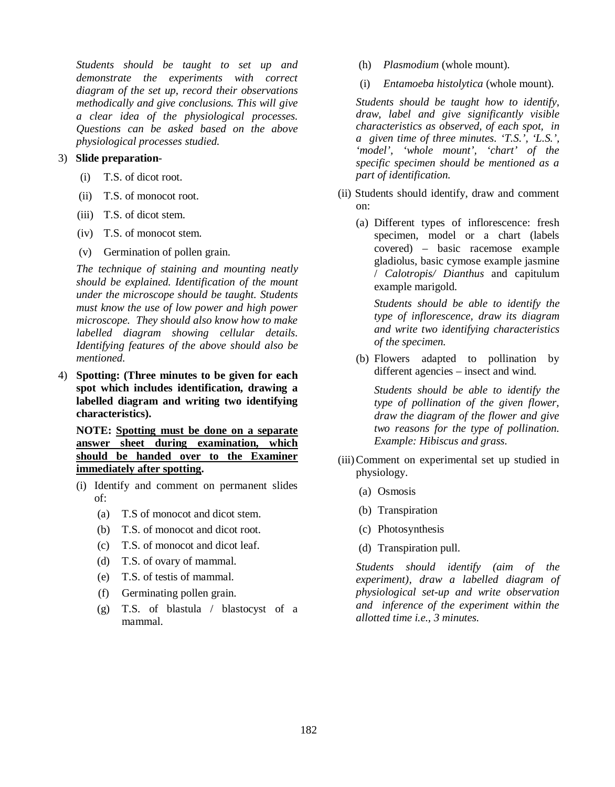*Students should be taught to set up and demonstrate the experiments with correct diagram of the set up, record their observations methodically and give conclusions. This will give a clear idea of the physiological processes. Questions can be asked based on the above physiological processes studied.*

#### 3) **Slide preparation**-

- (i) T.S. of dicot root.
- (ii) T.S. of monocot root.
- (iii) T.S. of dicot stem.
- (iv) T.S. of monocot stem.
- (v) Germination of pollen grain.

*The technique of staining and mounting neatly should be explained. Identification of the mount under the microscope should be taught. Students must know the use of low power and high power microscope. They should also know how to make labelled diagram showing cellular details. Identifying features of the above should also be mentioned.*

4) **Spotting: (Three minutes to be given for each spot which includes identification, drawing a labelled diagram and writing two identifying characteristics).** 

**NOTE: Spotting must be done on a separate answer sheet during examination, which should be handed over to the Examiner immediately after spotting.** 

- (i) Identify and comment on permanent slides of:
	- (a) T.S of monocot and dicot stem.
	- (b) T.S. of monocot and dicot root.
	- (c) T.S. of monocot and dicot leaf.
	- (d) T.S. of ovary of mammal.
	- (e) T.S. of testis of mammal.
	- (f) Germinating pollen grain.
	- (g) T.S. of blastula / blastocyst of a mammal.
- (h) *Plasmodium* (whole mount).
- (i) *Entamoeba histolytica* (whole mount).

*Students should be taught how to identify, draw, label and give significantly visible characteristics as observed, of each spot, in a given time of three minutes. 'T.S.', 'L.S.', 'model', 'whole mount', 'chart' of the specific specimen should be mentioned as a part of identification.*

- (ii) Students should identify, draw and comment on:
	- (a) Different types of inflorescence: fresh specimen, model or a chart (labels covered) – basic racemose example gladiolus, basic cymose example jasmine / *Calotropis/ Dianthus* and capitulum example marigold.

*Students should be able to identify the type of inflorescence, draw its diagram and write two identifying characteristics of the specimen.*

(b) Flowers adapted to pollination by different agencies – insect and wind.

*Students should be able to identify the type of pollination of the given flower, draw the diagram of the flower and give two reasons for the type of pollination. Example: Hibiscus and grass.*

- (iii)Comment on experimental set up studied in physiology.
	- (a) Osmosis
	- (b) Transpiration
	- (c) Photosynthesis
	- (d) Transpiration pull.

*Students should identify (aim of the experiment), draw a labelled diagram of physiological set-up and write observation and inference of the experiment within the allotted time i.e., 3 minutes.*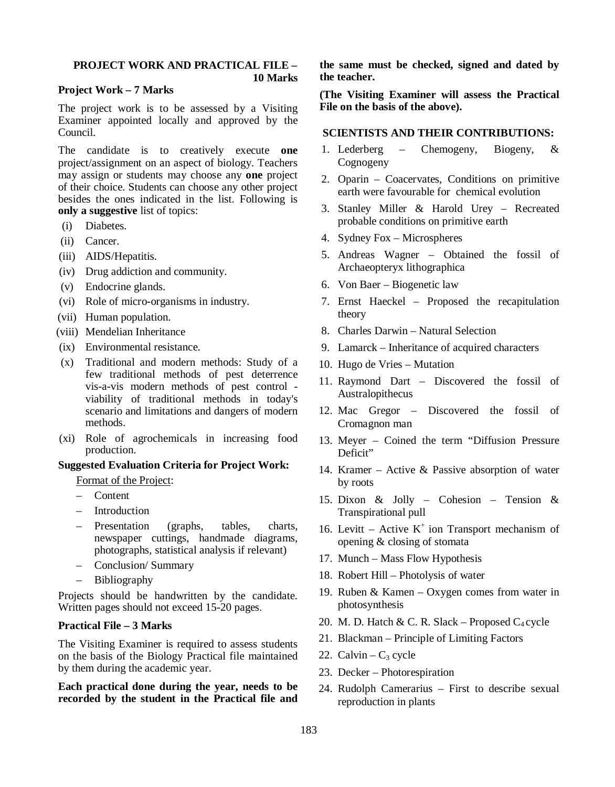## **PROJECT WORK AND PRACTICAL FILE –**

 **10 Marks**

#### **Project Work – 7 Marks**

The project work is to be assessed by a Visiting Examiner appointed locally and approved by the Council.

The candidate is to creatively execute **one** project/assignment on an aspect of biology. Teachers may assign or students may choose any **one** project of their choice. Students can choose any other project besides the ones indicated in the list. Following is **only a suggestive** list of topics:

- (i) Diabetes.
- (ii) Cancer.
- (iii) AIDS/Hepatitis.
- (iv) Drug addiction and community.
- (v) Endocrine glands.
- (vi) Role of micro-organisms in industry.
- (vii) Human population.
- (viii) Mendelian Inheritance
- (ix) Environmental resistance.
- (x) Traditional and modern methods: Study of a few traditional methods of pest deterrence vis-a-vis modern methods of pest control viability of traditional methods in today's scenario and limitations and dangers of modern methods.
- (xi) Role of agrochemicals in increasing food production.

#### **Suggested Evaluation Criteria for Project Work:**

Format of the Project:

- Content
- Introduction
- Presentation (graphs, tables, charts, newspaper cuttings, handmade diagrams, photographs, statistical analysis if relevant)
- Conclusion/ Summary
- Bibliography

Projects should be handwritten by the candidate. Written pages should not exceed 15-20 pages.

## **Practical File – 3 Marks**

The Visiting Examiner is required to assess students on the basis of the Biology Practical file maintained by them during the academic year.

**Each practical done during the year, needs to be recorded by the student in the Practical file and**  **the same must be checked, signed and dated by the teacher.**

**(The Visiting Examiner will assess the Practical File on the basis of the above).**

#### **SCIENTISTS AND THEIR CONTRIBUTIONS:**

- 1. Lederberg Chemogeny, Biogeny, & Cognogeny
- 2. Oparin Coacervates, Conditions on primitive earth were favourable for chemical evolution
- 3. Stanley Miller & Harold Urey Recreated probable conditions on primitive earth
- 4. Sydney Fox Microspheres
- 5. Andreas Wagner Obtained the fossil of Archaeopteryx lithographica
- 6. Von Baer Biogenetic law
- 7. Ernst Haeckel Proposed the recapitulation theory
- 8. Charles Darwin Natural Selection
- 9. Lamarck Inheritance of acquired characters
- 10. Hugo de Vries Mutation
- 11. Raymond Dart Discovered the fossil of Australopithecus
- 12. Mac Gregor Discovered the fossil of Cromagnon man
- 13. Meyer Coined the term "Diffusion Pressure Deficit"
- 14. Kramer Active & Passive absorption of water by roots
- 15. Dixon & Jolly Cohesion Tension & Transpirational pull
- 16. Levitt Active  $K^+$  ion Transport mechanism of opening & closing of stomata
- 17. Munch Mass Flow Hypothesis
- 18. Robert Hill Photolysis of water
- 19. Ruben & Kamen Oxygen comes from water in photosynthesis
- 20. M. D. Hatch & C. R. Slack Proposed  $C_4$  cycle
- 21. Blackman Principle of Limiting Factors
- 22. Calvin  $C_3$  cycle
- 23. Decker Photorespiration
- 24. Rudolph Camerarius First to describe sexual reproduction in plants